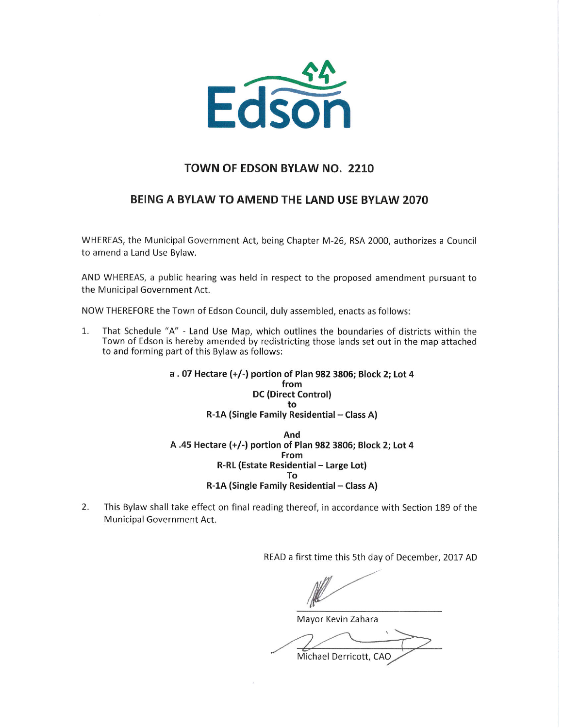

## TOWN OF EDSON BYLAWNO. 2210

## BEING A BYLAW TO AMEND THE LAND USE BYLAW 2070

WHEREAS, the Municipal Government Act, being Chapter M-26, RSA 2000, authorizes a Council to amend a Land Use Bylaw.

AND WHEREAS, a public hearing was held in respect to the proposed amendment pursuant to the Municipal Government Act.

NOW THEREFORE the Town of Edson Council, duly assembled, enacts as follows:

1. That Schedule "A" — Land Use Map, which outlines the boundaries of districts within the Town of Edson is hereby amended by redistricting those lands set out in the map attached to and forming part of this Bylaw as follows:

## <sup>a</sup> . <sup>07</sup> Hectare (+/-) portion of Plan <sup>982</sup> 3806; Block 2; Lot <sup>4</sup> from DC(Direct Control) to R-1A (Single Family Residential — Class A) And A .45 Hectare (+/-) portion of Plan 982 3806; Block 2; Lot 4 From R-RL(Estate Residential — Large Lot) To R-1A (Single Family Residential — Class A)

2. This Bylaw shall take effect on final reading thereof, in accordance with Section 189 of the Municipal Government Act.

READa first time this 5th day of December, 2017 AD

/,  $\frac{1}{2}$ 

Mayor Kevin Zahara

Michael Derricott, CAO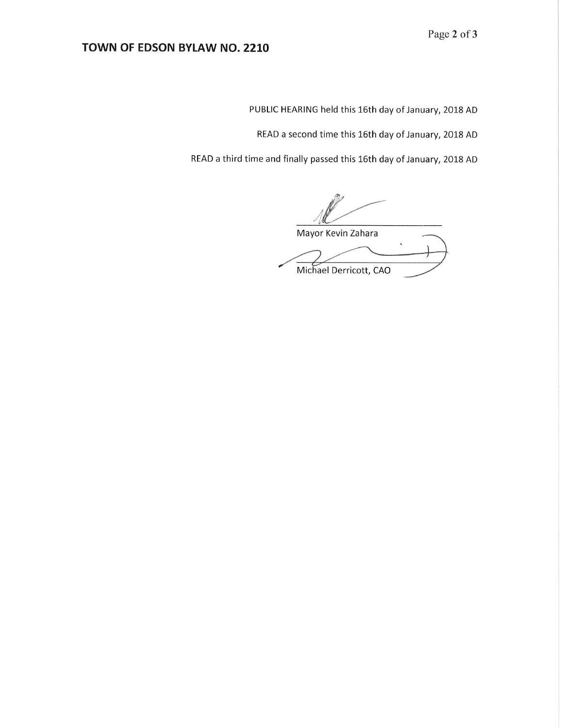PUBLIC HEARING held this 16th day of January, 2018 AD

READ a second time this 16th day of January, 2018 AD

READ a third time and finally passed this 16th day of January, 2018 AD

Mayor Kevin Zahara Michael Derricott, CAO